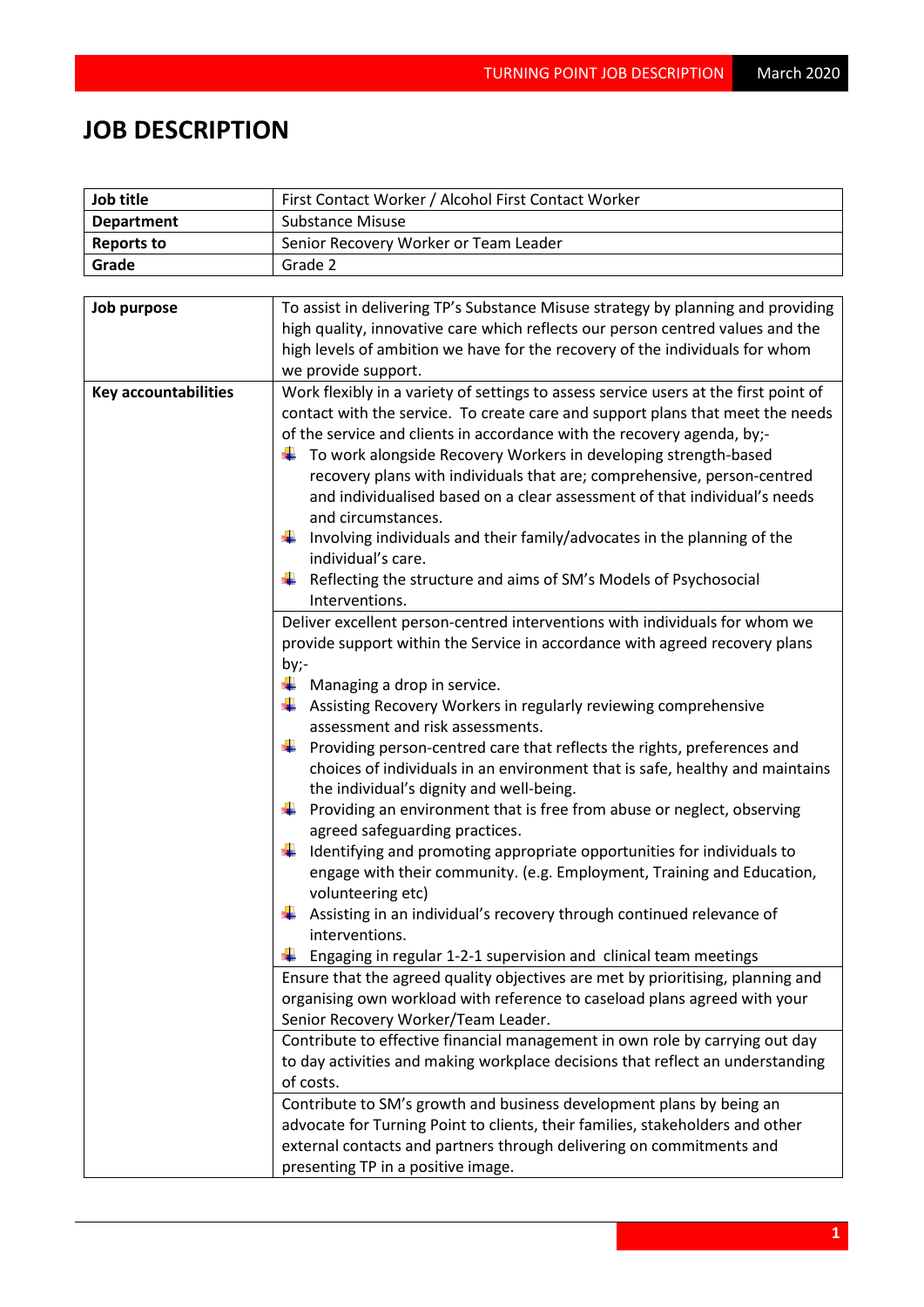## **JOB DESCRIPTION**

| Job title                   | First Contact Worker / Alcohol First Contact Worker                                                                                                                                                                                                                                                                                                                                                                                                                                                                                                                                                                                                                                                                                                                                                                                                                                                                                                                                                                                                                                                                                                                                                                                                                                                                                                                                                                                                                                                                                                                                                                                                                                                                                                                                                                                                                                                                                                                                                                                                                                                                                                                                                                                                                                                              |  |  |
|-----------------------------|------------------------------------------------------------------------------------------------------------------------------------------------------------------------------------------------------------------------------------------------------------------------------------------------------------------------------------------------------------------------------------------------------------------------------------------------------------------------------------------------------------------------------------------------------------------------------------------------------------------------------------------------------------------------------------------------------------------------------------------------------------------------------------------------------------------------------------------------------------------------------------------------------------------------------------------------------------------------------------------------------------------------------------------------------------------------------------------------------------------------------------------------------------------------------------------------------------------------------------------------------------------------------------------------------------------------------------------------------------------------------------------------------------------------------------------------------------------------------------------------------------------------------------------------------------------------------------------------------------------------------------------------------------------------------------------------------------------------------------------------------------------------------------------------------------------------------------------------------------------------------------------------------------------------------------------------------------------------------------------------------------------------------------------------------------------------------------------------------------------------------------------------------------------------------------------------------------------------------------------------------------------------------------------------------------------|--|--|
| <b>Department</b>           | <b>Substance Misuse</b>                                                                                                                                                                                                                                                                                                                                                                                                                                                                                                                                                                                                                                                                                                                                                                                                                                                                                                                                                                                                                                                                                                                                                                                                                                                                                                                                                                                                                                                                                                                                                                                                                                                                                                                                                                                                                                                                                                                                                                                                                                                                                                                                                                                                                                                                                          |  |  |
| <b>Reports to</b>           | Senior Recovery Worker or Team Leader                                                                                                                                                                                                                                                                                                                                                                                                                                                                                                                                                                                                                                                                                                                                                                                                                                                                                                                                                                                                                                                                                                                                                                                                                                                                                                                                                                                                                                                                                                                                                                                                                                                                                                                                                                                                                                                                                                                                                                                                                                                                                                                                                                                                                                                                            |  |  |
| Grade                       | Grade 2                                                                                                                                                                                                                                                                                                                                                                                                                                                                                                                                                                                                                                                                                                                                                                                                                                                                                                                                                                                                                                                                                                                                                                                                                                                                                                                                                                                                                                                                                                                                                                                                                                                                                                                                                                                                                                                                                                                                                                                                                                                                                                                                                                                                                                                                                                          |  |  |
|                             |                                                                                                                                                                                                                                                                                                                                                                                                                                                                                                                                                                                                                                                                                                                                                                                                                                                                                                                                                                                                                                                                                                                                                                                                                                                                                                                                                                                                                                                                                                                                                                                                                                                                                                                                                                                                                                                                                                                                                                                                                                                                                                                                                                                                                                                                                                                  |  |  |
| Job purpose                 | To assist in delivering TP's Substance Misuse strategy by planning and providing<br>high quality, innovative care which reflects our person centred values and the<br>high levels of ambition we have for the recovery of the individuals for whom<br>we provide support.                                                                                                                                                                                                                                                                                                                                                                                                                                                                                                                                                                                                                                                                                                                                                                                                                                                                                                                                                                                                                                                                                                                                                                                                                                                                                                                                                                                                                                                                                                                                                                                                                                                                                                                                                                                                                                                                                                                                                                                                                                        |  |  |
| <b>Key accountabilities</b> | Work flexibly in a variety of settings to assess service users at the first point of<br>contact with the service. To create care and support plans that meet the needs<br>of the service and clients in accordance with the recovery agenda, by;-<br>To work alongside Recovery Workers in developing strength-based<br>recovery plans with individuals that are; comprehensive, person-centred<br>and individualised based on a clear assessment of that individual's needs<br>and circumstances.<br>Involving individuals and their family/advocates in the planning of the<br>individual's care.<br>Reflecting the structure and aims of SM's Models of Psychosocial<br>Interventions.<br>Deliver excellent person-centred interventions with individuals for whom we<br>provide support within the Service in accordance with agreed recovery plans<br>by;-<br>÷<br>Managing a drop in service.<br>Assisting Recovery Workers in regularly reviewing comprehensive<br>₩<br>assessment and risk assessments.<br>Providing person-centred care that reflects the rights, preferences and<br>۰.<br>choices of individuals in an environment that is safe, healthy and maintains<br>the individual's dignity and well-being.<br>Providing an environment that is free from abuse or neglect, observing<br>agreed safeguarding practices.<br>Identifying and promoting appropriate opportunities for individuals to<br>÷<br>engage with their community. (e.g. Employment, Training and Education,<br>volunteering etc)<br>Assisting in an individual's recovery through continued relevance of<br>interventions.<br>Engaging in regular 1-2-1 supervision and clinical team meetings<br>÷<br>Ensure that the agreed quality objectives are met by prioritising, planning and<br>organising own workload with reference to caseload plans agreed with your<br>Senior Recovery Worker/Team Leader.<br>Contribute to effective financial management in own role by carrying out day<br>to day activities and making workplace decisions that reflect an understanding<br>of costs.<br>Contribute to SM's growth and business development plans by being an<br>advocate for Turning Point to clients, their families, stakeholders and other<br>external contacts and partners through delivering on commitments and |  |  |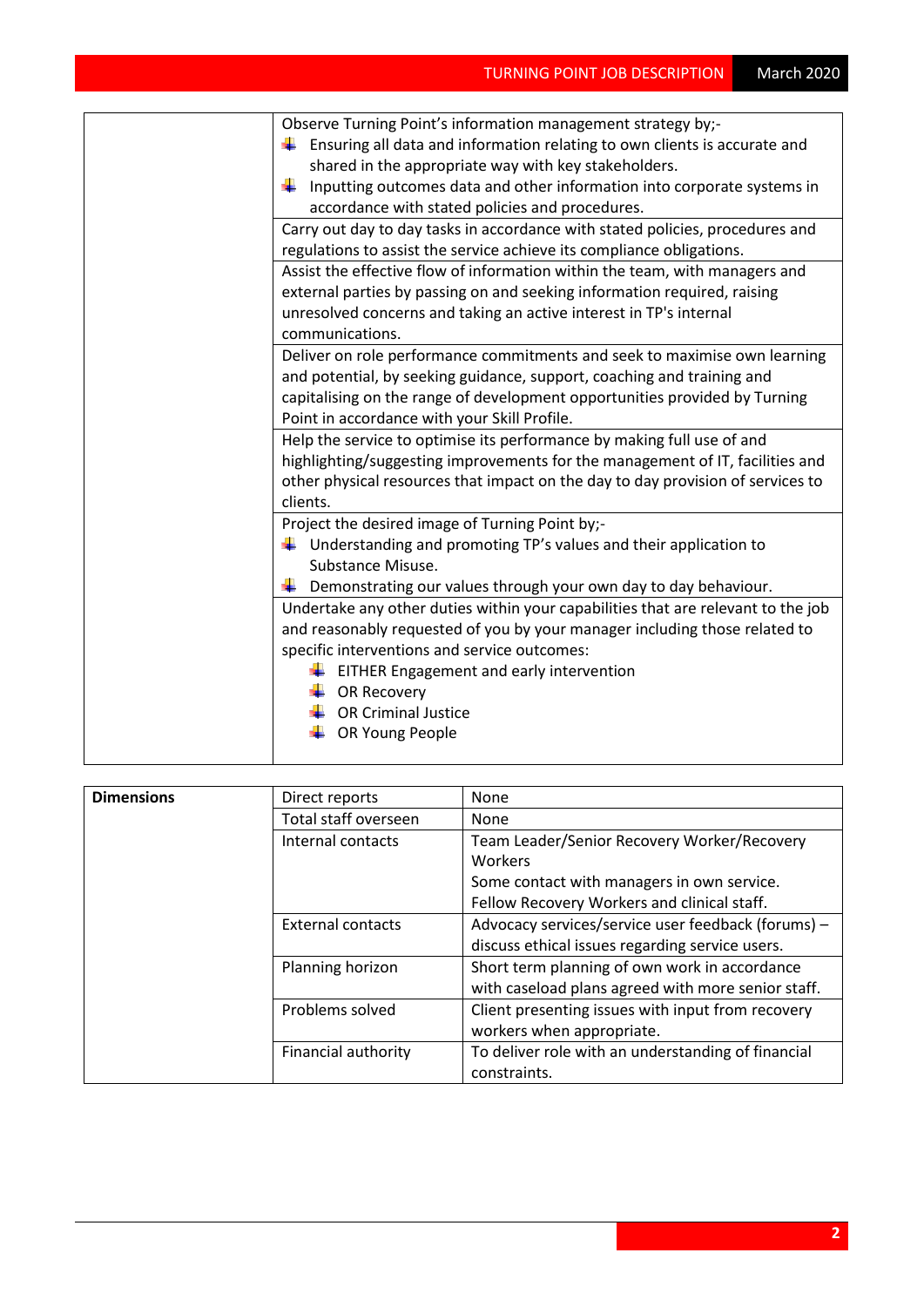| Observe Turning Point's information management strategy by;-                     |
|----------------------------------------------------------------------------------|
| Ensuring all data and information relating to own clients is accurate and        |
| shared in the appropriate way with key stakeholders.                             |
| Inputting outcomes data and other information into corporate systems in          |
| accordance with stated policies and procedures.                                  |
| Carry out day to day tasks in accordance with stated policies, procedures and    |
| regulations to assist the service achieve its compliance obligations.            |
| Assist the effective flow of information within the team, with managers and      |
| external parties by passing on and seeking information required, raising         |
| unresolved concerns and taking an active interest in TP's internal               |
| communications.                                                                  |
| Deliver on role performance commitments and seek to maximise own learning        |
| and potential, by seeking guidance, support, coaching and training and           |
| capitalising on the range of development opportunities provided by Turning       |
| Point in accordance with your Skill Profile.                                     |
| Help the service to optimise its performance by making full use of and           |
| highlighting/suggesting improvements for the management of IT, facilities and    |
| other physical resources that impact on the day to day provision of services to  |
| clients.                                                                         |
| Project the desired image of Turning Point by;-                                  |
| $\ddagger$ Understanding and promoting TP's values and their application to      |
| Substance Misuse.                                                                |
| Demonstrating our values through your own day to day behaviour.                  |
| Undertake any other duties within your capabilities that are relevant to the job |
| and reasonably requested of you by your manager including those related to       |
| specific interventions and service outcomes:                                     |
| EITHER Engagement and early intervention                                         |
| <b>OR Recovery</b>                                                               |
| <b>OR Criminal Justice</b>                                                       |
| OR Young People                                                                  |
|                                                                                  |

| <b>Dimensions</b> | Direct reports       | None                                               |
|-------------------|----------------------|----------------------------------------------------|
|                   | Total staff overseen | <b>None</b>                                        |
|                   | Internal contacts    | Team Leader/Senior Recovery Worker/Recovery        |
|                   |                      | Workers                                            |
|                   |                      | Some contact with managers in own service.         |
|                   |                      | Fellow Recovery Workers and clinical staff.        |
|                   | External contacts    | Advocacy services/service user feedback (forums) - |
|                   |                      | discuss ethical issues regarding service users.    |
|                   | Planning horizon     | Short term planning of own work in accordance      |
|                   |                      | with caseload plans agreed with more senior staff. |
|                   | Problems solved      | Client presenting issues with input from recovery  |
|                   |                      | workers when appropriate.                          |
|                   | Financial authority  | To deliver role with an understanding of financial |
|                   |                      | constraints.                                       |